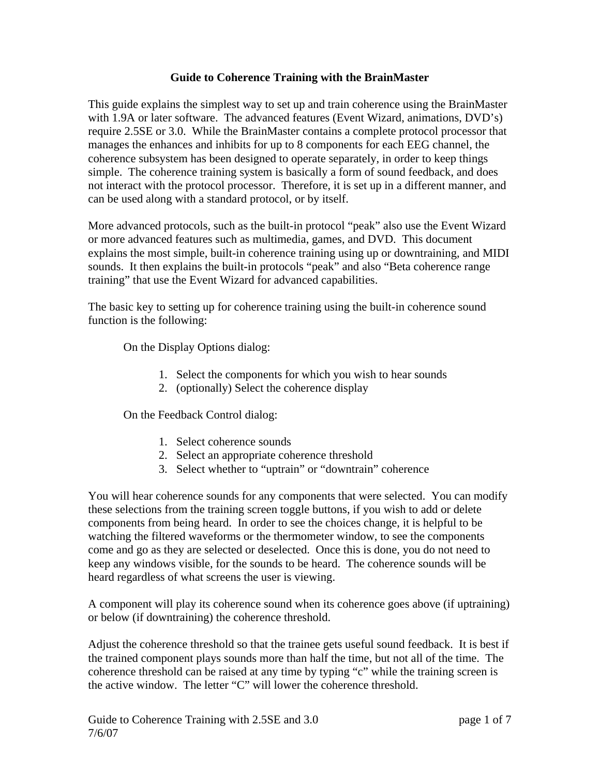## **Guide to Coherence Training with the BrainMaster**

This guide explains the simplest way to set up and train coherence using the BrainMaster with 1.9A or later software. The advanced features (Event Wizard, animations, DVD's) require 2.5SE or 3.0. While the BrainMaster contains a complete protocol processor that manages the enhances and inhibits for up to 8 components for each EEG channel, the coherence subsystem has been designed to operate separately, in order to keep things simple. The coherence training system is basically a form of sound feedback, and does not interact with the protocol processor. Therefore, it is set up in a different manner, and can be used along with a standard protocol, or by itself.

More advanced protocols, such as the built-in protocol "peak" also use the Event Wizard or more advanced features such as multimedia, games, and DVD. This document explains the most simple, built-in coherence training using up or downtraining, and MIDI sounds. It then explains the built-in protocols "peak" and also "Beta coherence range training" that use the Event Wizard for advanced capabilities.

The basic key to setting up for coherence training using the built-in coherence sound function is the following:

On the Display Options dialog:

- 1. Select the components for which you wish to hear sounds
- 2. (optionally) Select the coherence display

On the Feedback Control dialog:

- 1. Select coherence sounds
- 2. Select an appropriate coherence threshold
- 3. Select whether to "uptrain" or "downtrain" coherence

You will hear coherence sounds for any components that were selected. You can modify these selections from the training screen toggle buttons, if you wish to add or delete components from being heard. In order to see the choices change, it is helpful to be watching the filtered waveforms or the thermometer window, to see the components come and go as they are selected or deselected. Once this is done, you do not need to keep any windows visible, for the sounds to be heard. The coherence sounds will be heard regardless of what screens the user is viewing.

A component will play its coherence sound when its coherence goes above (if uptraining) or below (if downtraining) the coherence threshold.

Adjust the coherence threshold so that the trainee gets useful sound feedback. It is best if the trained component plays sounds more than half the time, but not all of the time. The coherence threshold can be raised at any time by typing "c" while the training screen is the active window. The letter "C" will lower the coherence threshold.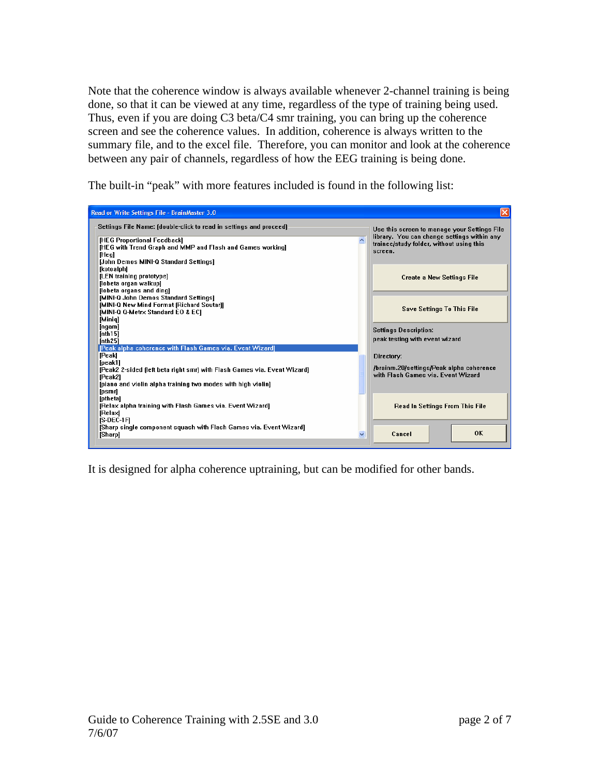Note that the coherence window is always available whenever 2-channel training is being done, so that it can be viewed at any time, regardless of the type of training being used. Thus, even if you are doing C3 beta/C4 smr training, you can bring up the coherence screen and see the coherence values. In addition, coherence is always written to the summary file, and to the excel file. Therefore, you can monitor and look at the coherence between any pair of channels, regardless of how the EEG training is being done.

The built-in "peak" with more features included is found in the following list:

| Read or Write Settings File - BrainMaster 3.0                            |                                                                                             | $\vert \times \vert$                     |  |
|--------------------------------------------------------------------------|---------------------------------------------------------------------------------------------|------------------------------------------|--|
| Settings File Name: (double-click to read in settings and proceed)       | Use this screen to manage your Settings File<br>library. You can change settings within any |                                          |  |
| [HEG Proportional Feedback]                                              |                                                                                             |                                          |  |
| [HEG with Trend Graph and MMP and Flash and Games working]               | trainee/study folder, without using this                                                    |                                          |  |
| [Heg]                                                                    | screen.                                                                                     |                                          |  |
| [John Demos MINI-Q Standard Settings]                                    |                                                                                             |                                          |  |
| [kotoalph]                                                               |                                                                                             |                                          |  |
| [LEN training prototype]                                                 |                                                                                             | <b>Create a New Settings File</b>        |  |
| [lobeta organ walkup]                                                    |                                                                                             |                                          |  |
| [lobeta organs and ding]                                                 |                                                                                             |                                          |  |
| [MINI-Q John Demos Standard Settings]                                    |                                                                                             |                                          |  |
| [MINI-Q New Mind Format (Richard Soutar)]                                |                                                                                             |                                          |  |
| <b>IMINI-Q Q-Metrx Standard EO &amp; ECI</b>                             | <b>Save Settings To This File</b>                                                           |                                          |  |
| [Minig]                                                                  |                                                                                             |                                          |  |
| [ngam]                                                                   | <b>Settings Description:</b>                                                                |                                          |  |
| [nth $15$ ]                                                              |                                                                                             |                                          |  |
| [nth25]                                                                  | peak testing with event wizard                                                              |                                          |  |
| [Peak alpha coherence with Flash Games via. Event Wizard]                |                                                                                             |                                          |  |
| [Peak]                                                                   | Directory:                                                                                  |                                          |  |
| [peak1]                                                                  |                                                                                             |                                          |  |
| [Peak2 2-sided (left beta right smr) with Flash Games via. Event Wizard] |                                                                                             | /brainm.20/settings/Peak alpha coherence |  |
| [Peak2]                                                                  | with Flash Games via, Event Wizard                                                          |                                          |  |
| [piano and violin alpha training two modes with high violin]             |                                                                                             |                                          |  |
| [psmr]                                                                   |                                                                                             |                                          |  |
| <b>Ipthetal</b>                                                          |                                                                                             |                                          |  |
| [Relax alpha training with Flash Games via. Event Wizard]                | Read In Settings From This File                                                             |                                          |  |
| [Relax]                                                                  |                                                                                             |                                          |  |
| IS-DEC-1FI                                                               |                                                                                             |                                          |  |
| [Sharp single component squash with Flash Games via. Event Wizard]       |                                                                                             |                                          |  |
| M<br>[Sharp]                                                             | Cancel                                                                                      | <b>OK</b>                                |  |
|                                                                          |                                                                                             |                                          |  |

It is designed for alpha coherence uptraining, but can be modified for other bands.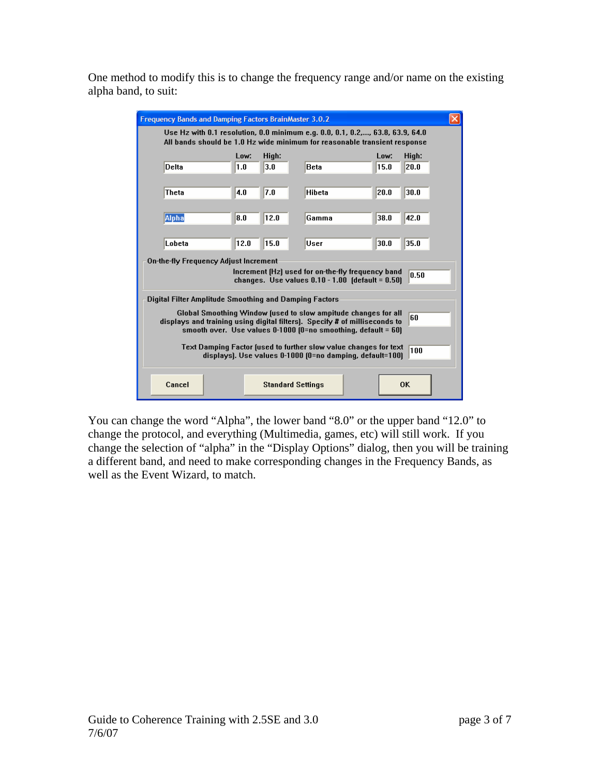One method to modify this is to change the frequency range and/or name on the existing alpha band, to suit:

| <b>Frequency Bands and Damping Factors BrainMaster 3.0.2</b>                                                                                       |                                                                                                                                                            |                                             |      |               |              |               |  |
|----------------------------------------------------------------------------------------------------------------------------------------------------|------------------------------------------------------------------------------------------------------------------------------------------------------------|---------------------------------------------|------|---------------|--------------|---------------|--|
|                                                                                                                                                    | Use Hz with 0.1 resolution, 0.0 minimum e.g. 0.0, 0.1, 0.2,, 63.8, 63.9, 64.0<br>All bands should be 1.0 Hz wide minimum for reasonable transient response |                                             |      |               |              |               |  |
|                                                                                                                                                    | Delta                                                                                                                                                      | High:<br>Low:<br>3.0<br><b>Beta</b><br> 1.0 |      |               | Low:<br>15.0 | High:<br>20.0 |  |
|                                                                                                                                                    |                                                                                                                                                            |                                             |      |               |              |               |  |
|                                                                                                                                                    | Theta                                                                                                                                                      | 4.0                                         | 7.0  | <b>Hibeta</b> | 20.0         | 30.0          |  |
|                                                                                                                                                    | Alpha                                                                                                                                                      | 18.0                                        | 12.0 | Gamma         | 38.0         | 42.0          |  |
|                                                                                                                                                    |                                                                                                                                                            |                                             |      |               |              |               |  |
| 12.0<br>15.0<br>Lobeta                                                                                                                             |                                                                                                                                                            |                                             |      | User          | 30.0         | 35.0          |  |
|                                                                                                                                                    | On-the-fly Frequency Adjust Increment                                                                                                                      |                                             |      |               |              |               |  |
| Increment (Hz) used for on-the-fly frequency band<br>0.50<br>changes. Use values $0.10 - 1.00$ (default = $0.50$ )                                 |                                                                                                                                                            |                                             |      |               |              |               |  |
| Digital Filter Amplitude Smoothing and Damping Factors                                                                                             |                                                                                                                                                            |                                             |      |               |              |               |  |
| Global Smoothing Window (used to slow ampitude changes for all<br>60<br>displays and training using digital filters). Specify # of milliseconds to |                                                                                                                                                            |                                             |      |               |              |               |  |
| smooth over. Use values $0-1000$ (0=no smoothing, default = 60)                                                                                    |                                                                                                                                                            |                                             |      |               |              |               |  |
| Text Damping Factor (used to further slow value changes for text<br>100<br>displays). Use values 0-1000 (0=no damping, default=100)                |                                                                                                                                                            |                                             |      |               |              |               |  |
|                                                                                                                                                    |                                                                                                                                                            |                                             |      |               |              |               |  |
|                                                                                                                                                    | Cancel<br><b>OK</b><br><b>Standard Settings</b>                                                                                                            |                                             |      |               |              |               |  |

You can change the word "Alpha", the lower band "8.0" or the upper band "12.0" to change the protocol, and everything (Multimedia, games, etc) will still work. If you change the selection of "alpha" in the "Display Options" dialog, then you will be training a different band, and need to make corresponding changes in the Frequency Bands, as well as the Event Wizard, to match.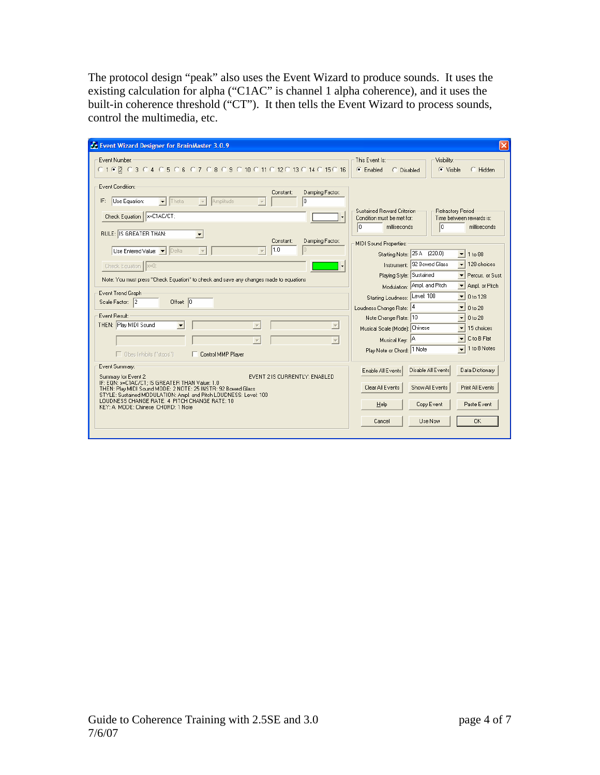The protocol design "peak" also uses the Event Wizard to produce sounds. It uses the existing calculation for alpha ("C1AC" is channel 1 alpha coherence), and it uses the built-in coherence threshold ("CT"). It then tells the Event Wizard to process sounds, control the multimedia, etc.

| Event Wizard Designer for BrainMaster 3.0.9                                                                                                                                                                                                                                                                                                          |                                                                                                                                                                                                   |
|------------------------------------------------------------------------------------------------------------------------------------------------------------------------------------------------------------------------------------------------------------------------------------------------------------------------------------------------------|---------------------------------------------------------------------------------------------------------------------------------------------------------------------------------------------------|
| Event Number:<br>010 2 03 04 05 06 07 08 09 010 011 012 013 014 015 016                                                                                                                                                                                                                                                                              | This Event Is:<br>Visibility:<br>$\bullet$ Enabled<br>$\bullet$ Visible<br>$C$ Hidden<br>C Disabled                                                                                               |
| Event Condition:<br>Damping Factor:<br>Constant:<br>Use Equation:<br>$\blacktriangleright$ Theta<br>Amplitude<br>lo.<br>IF:<br>Check Equation   x=C1AC/CT;<br>RULE: IS GREATER THAN:<br>$\vert$                                                                                                                                                      | Sustained Reward Criterion<br>Refractory Period<br>Condition must be met for:<br>Time between rewards is:<br>lo<br>I۵<br>milliseconds<br>milliseconds                                             |
| Damping Factor:<br>Constant:<br>1.0<br>Use Entered Value: VI Delta<br>$\overline{\phantom{a}}$<br>Check Equation    x=0;<br>Note: You must press "Check Equation" to check and save any changes made to equations                                                                                                                                    | MIDI Sound Properties:<br>Starting Note: 25 A (220.0)<br>1 to 88<br>▾<br>$\blacktriangleright$ 128 choices<br>Instrument: 92 Bowed Glass<br>Playing Style: Sustained<br>Percus, or Sust.          |
| Event Trend Graph-<br>Offset: $ 0 $<br>Scale Factor: 2                                                                                                                                                                                                                                                                                               | Modulation: Ampl. and Pitch<br>▼ Ampl. or Pitch<br>Starting Loudness: Level: 100<br>0 to 128<br>Loudness Change Rate: 4<br>▾╎<br>0 to 20                                                          |
| Event Result:<br>THEN: Play MIDI Sound<br>$\Box$ Obey Inhibits ("stops")<br>Control MMP Player                                                                                                                                                                                                                                                       | Note Change Rate: 10<br>0 to 20<br>▾<br>Musical Scale (Mode): Chinese<br>15 choices<br>C to B Flat<br>┯╎<br>Musical Key: A<br>$\overline{\phantom{0}}$ 1 to 8 Notes<br>Play Note or Chord: 1 Note |
| Event Summary:<br>EVENT 21S CURRENTLY: ENABLED<br>Summary for Event 2:<br>IF: EQN: x=C1AC/CT; IS GREATER THAN Value: 1.0<br>THEN: Play MIDI Sound MODE: 2 NOTE: 25 INSTR: 92 Bowed Glass<br>STYLE: Sustained MODULATION: Ampl. and Pitch LOUDNESS: Level: 100<br>LOUDNESS CHANGE RATE: 4 PITCH CHANGE RATE: 10<br>KEY: A MODE: Chinese CHORD: 1 Note | Disable All Events<br>Data Dictionary<br>Enable All Events<br>Clear All Events<br>Show All Events<br>Print All Events<br>Copy Event<br>Paste Event<br>Help<br><b>OK</b><br>Use Now<br>Cancel      |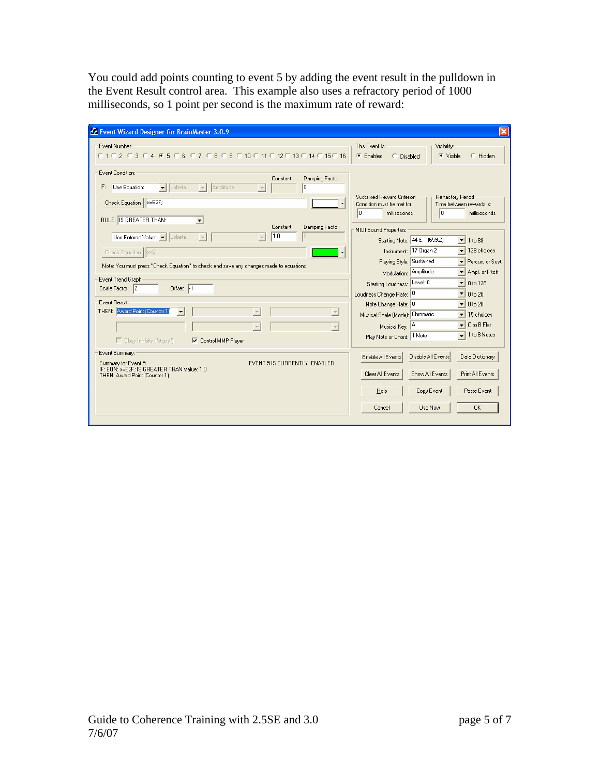You could add points counting to event 5 by adding the event result in the pulldown in the Event Result control area. This example also uses a refractory period of 1000 milliseconds, so 1 point per second is the maximum rate of reward:

| Event Wizard Designer for BrainMaster 3.0.9                                                                                                                                                                                                                              |                                                                                                                                                                                                                |
|--------------------------------------------------------------------------------------------------------------------------------------------------------------------------------------------------------------------------------------------------------------------------|----------------------------------------------------------------------------------------------------------------------------------------------------------------------------------------------------------------|
| Event Number:<br>C 1 C 2 C 3 C 4 C 5 C 6 C 7 C 8 C 9 C 10 C 11 C 12 C 13 C 14 C 15 C 16                                                                                                                                                                                  | This Event Is:<br>Visibility:<br>$\mathbf{F}$ Enabled<br>$\bullet$ Visible<br>$C$ Hidden<br>C Disabled                                                                                                         |
| Event Condition:<br>Damping Factor:<br>Constant:<br>Use Equation:<br>$\blacktriangleright$ Lobeta<br>Amplitude<br>Iо<br>IF:<br>$\overline{\phantom{a}}$<br>Check Equation   x=E2F;                                                                                       | Sustained Reward Criterion<br>Refractory Period<br>Condition must be met for:<br>Time between rewards is:<br>l0<br>lo.<br>milliseconds<br>milliseconds                                                         |
| RULE: IS GREATER THAN:<br>$\blacktriangledown$<br>Constant:<br>Damping Factor:<br>1.0<br>Use Entered Value: v Lobeta<br>$\overline{\phantom{a}}$<br>Check Equation    x=0;<br>▼<br>Note: You must press "Check Equation" to check and save any changes made to equations | MIDI Sound Properties:<br>Starting Note: 44 E (659.2)<br>1 to 88<br>▾╎<br>Instrument: 17 Organ 2<br>128 choices<br>Playing Style: Sustained<br>Percus, or Sust.                                                |
| Event Trend Graph:<br>Offset: -1<br>Scale Factor: 2<br>Event Result:                                                                                                                                                                                                     | Ampl. or Pitch<br>Modulation: Amplitude<br>Starting Loudness: Level: 0<br>▾<br>0 to 128<br>Loudness Change Rate: 0<br>0 to 20<br>▾                                                                             |
| THEN: Award Point (Counter 1)<br>$\overline{\mathcal{A}}$<br>$\overline{\phantom{a}}$<br>□ Obey Inhibits ("stops")<br><b>▽</b> Control MMP Player                                                                                                                        | Note Change Rate: 0<br>0 to 20<br>$\mathbf{r}$<br>Musical Scale (Mode): Chromatic<br>15 choices<br>C to B Flat<br>$\mathbf{r}$<br>Musical Key: A<br>1 to 8 Notes<br>$\mathbf{I}$<br>Play Note or Chord: 1 Note |
| Event Summary:<br>EVENT 5 IS CURRENTLY: ENABLED<br>Summary for Event 5:<br>IF: EON: x=E2F: IS GREATER THAN Value: 1.0<br>THEN: Award Point (Counter 1)                                                                                                                   | Disable All Events<br>Data Dictionary<br>Enable All Events<br>Clear All Events<br>Show All Events<br>Print All Events                                                                                          |
|                                                                                                                                                                                                                                                                          | Copy Event<br>Paste Event<br>Help<br><b>OK</b><br>Use Now<br>Cancel                                                                                                                                            |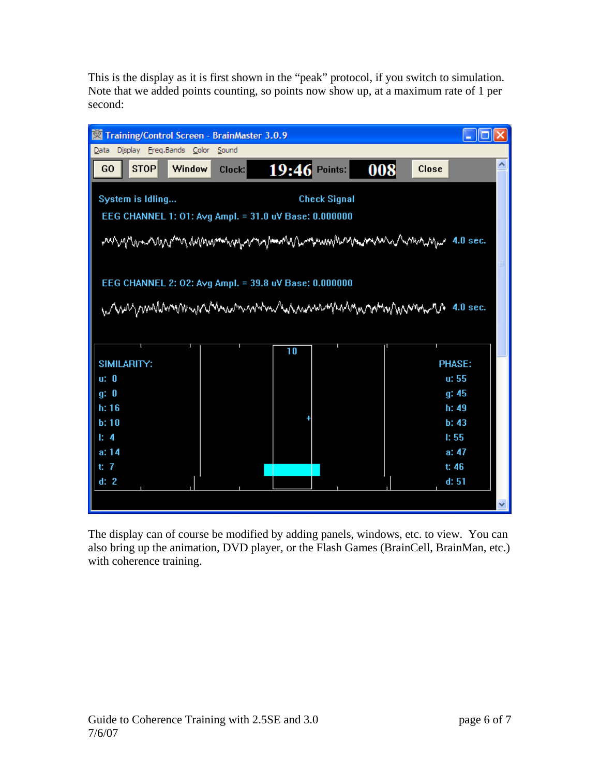This is the display as it is first shown in the "peak" protocol, if you switch to simulation. Note that we added points counting, so points now show up, at a maximum rate of 1 per second:

| Training/Control Screen - BrainMaster 3.0.9                                                                                                                                        |                                                                                             |  |  |  |  |  |
|------------------------------------------------------------------------------------------------------------------------------------------------------------------------------------|---------------------------------------------------------------------------------------------|--|--|--|--|--|
| Display Freq.Bands Color<br>Sound<br>Data                                                                                                                                          |                                                                                             |  |  |  |  |  |
| <b>STOP</b><br>$19:46$ Points:<br>008<br>Window<br>G <sub>O</sub><br>Clock:                                                                                                        | <b>Close</b>                                                                                |  |  |  |  |  |
| System is Idling<br><b>Check Signal</b><br>EEG CHANNEL 1: 01: Avg Ampl. = 31.0 uV Base: 0.000000<br>EEG CHANNEL 2: 02: Avg Ampl. = 39.8 uV Base: 0.000000<br>when we have the sec. |                                                                                             |  |  |  |  |  |
| 10<br>SIMILARITY:<br>u: 0<br>g: 0<br>h: 16<br>b:10<br>$E_4$<br>a: 14<br>t: 7<br>d: 2                                                                                               | <b>PHASE:</b><br>u: 55<br>g: 45<br>h: 49<br>b: 43<br>1:55<br>a: $47$<br>t: 46<br>d: 51<br>× |  |  |  |  |  |

The display can of course be modified by adding panels, windows, etc. to view. You can also bring up the animation, DVD player, or the Flash Games (BrainCell, BrainMan, etc.) with coherence training.